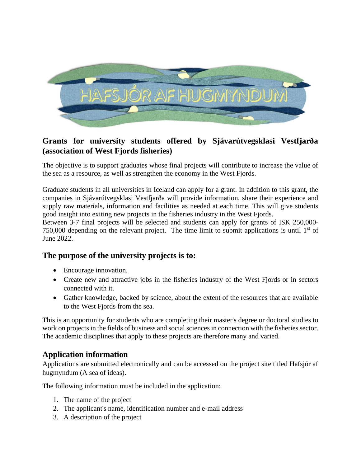

## **Grants for university students offered by Sjávarútvegsklasi Vestfjarða (association of West Fjords fisheries)**

The objective is to support graduates whose final projects will contribute to increase the value of the sea as a resource, as well as strengthen the economy in the West Fjords.

Graduate students in all universities in Iceland can apply for a grant. In addition to this grant, the companies in Sjávarútvegsklasi Vestfjarða will provide information, share their experience and supply raw materials, information and facilities as needed at each time. This will give students good insight into exiting new projects in the fisheries industry in the West Fjords.

Between 3-7 final projects will be selected and students can apply for grants of ISK 250,000- 750,000 depending on the relevant project. The time limit to submit applications is until  $1<sup>st</sup>$  of June 2022.

## **The purpose of the university projects is to:**

- Encourage innovation.
- Create new and attractive jobs in the fisheries industry of the West Fjords or in sectors connected with it.
- Gather knowledge, backed by science, about the extent of the resources that are available to the West Fjords from the sea.

This is an opportunity for students who are completing their master's degree or doctoral studies to work on projects in the fields of business and social sciences in connection with the fisheries sector. The academic disciplines that apply to these projects are therefore many and varied.

## **Application information**

Applications are submitted electronically and can be accessed on the project site titled Hafsjór af hugmyndum (A sea of ideas).

The following information must be included in the application:

- 1. The name of the project
- 2. The applicant's name, identification number and e-mail address
- 3. A description of the project